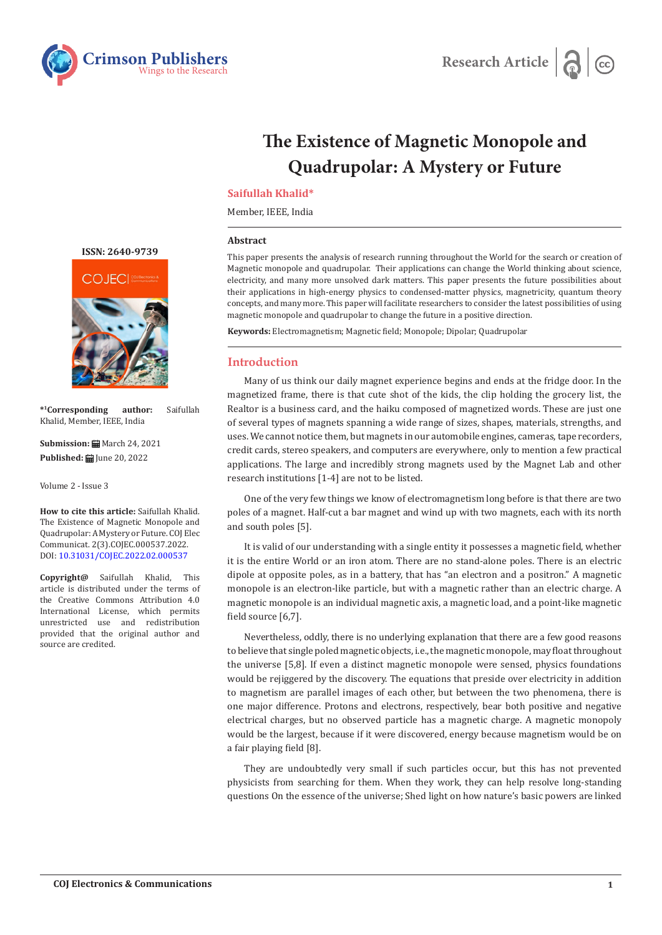



# **The Existence of Magnetic Monopole and Quadrupolar: A Mystery or Future**

# **Saifullah Khalid\***

Member, IEEE, India

#### **Abstract**

This paper presents the analysis of research running throughout the World for the search or creation of Magnetic monopole and quadrupolar. Their applications can change the World thinking about science, electricity, and many more unsolved dark matters. This paper presents the future possibilities about their applications in high-energy physics to condensed-matter physics, magnetricity, quantum theory concepts, and many more. This paper will facilitate researchers to consider the latest possibilities of using magnetic monopole and quadrupolar to change the future in a positive direction.

**Keywords:** Electromagnetism; Magnetic field; Monopole; Dipolar; Quadrupolar

# **Introduction**

Many of us think our daily magnet experience begins and ends at the fridge door. In the magnetized frame, there is that cute shot of the kids, the clip holding the grocery list, the Realtor is a business card, and the haiku composed of magnetized words. These are just one of several types of magnets spanning a wide range of sizes, shapes, materials, strengths, and uses. We cannot notice them, but magnets in our automobile engines, cameras, tape recorders, credit cards, stereo speakers, and computers are everywhere, only to mention a few practical applications. The large and incredibly strong magnets used by the Magnet Lab and other research institutions [1-4] are not to be listed.

One of the very few things we know of electromagnetism long before is that there are two poles of a magnet. Half-cut a bar magnet and wind up with two magnets, each with its north and south poles [5].

It is valid of our understanding with a single entity it possesses a magnetic field, whether it is the entire World or an iron atom. There are no stand-alone poles. There is an electric dipole at opposite poles, as in a battery, that has "an electron and a positron." A magnetic monopole is an electron-like particle, but with a magnetic rather than an electric charge. A magnetic monopole is an individual magnetic axis, a magnetic load, and a point-like magnetic field source [6,7].

Nevertheless, oddly, there is no underlying explanation that there are a few good reasons to believe that single poled magnetic objects, i.e., the magnetic monopole, may float throughout the universe [5,8]. If even a distinct magnetic monopole were sensed, physics foundations would be rejiggered by the discovery. The equations that preside over electricity in addition to magnetism are parallel images of each other, but between the two phenomena, there is one major difference. Protons and electrons, respectively, bear both positive and negative electrical charges, but no observed particle has a magnetic charge. A magnetic monopoly would be the largest, because if it were discovered, energy because magnetism would be on a fair playing field [8].

They are undoubtedly very small if such particles occur, but this has not prevented physicists from searching for them. When they work, they can help resolve long-standing questions On the essence of the universe; Shed light on how nature's basic powers are linked

**[ISSN: 2640-9739](https://crimsonpublishers.com/cojec/)**



**\*1Corresponding author:** Saifullah Khalid, Member, IEEE, India

**Submission:** March 24, 2021 **Published: | Iune 20, 2022** 

Volume 2 - Issue 3

**How to cite this article:** Saifullah Khalid. The Existence of Magnetic Monopole and Quadrupolar: A Mystery or Future. COJ Elec Communicat. 2(3).COJEC.000537.2022. DOI: [10.31031/COJEC.2022.02.000537](http://dx.doi.org/10.31031/COJEC.2022.02.000537)

**Copyright@** Saifullah Khalid, This article is distributed under the terms of the Creative Commons Attribution 4.0 International License, which permits unrestricted use and redistribution provided that the original author and source are credited.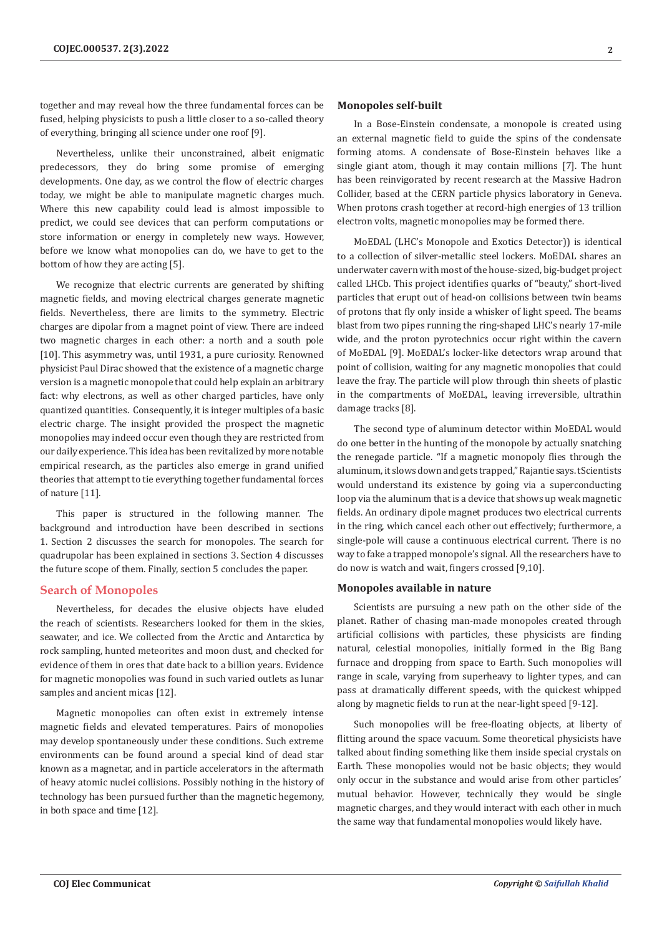together and may reveal how the three fundamental forces can be fused, helping physicists to push a little closer to a so-called theory of everything, bringing all science under one roof [9].

Nevertheless, unlike their unconstrained, albeit enigmatic predecessors, they do bring some promise of emerging developments. One day, as we control the flow of electric charges today, we might be able to manipulate magnetic charges much. Where this new capability could lead is almost impossible to predict, we could see devices that can perform computations or store information or energy in completely new ways. However, before we know what monopolies can do, we have to get to the bottom of how they are acting [5].

We recognize that electric currents are generated by shifting magnetic fields, and moving electrical charges generate magnetic fields. Nevertheless, there are limits to the symmetry. Electric charges are dipolar from a magnet point of view. There are indeed two magnetic charges in each other: a north and a south pole [10]. This asymmetry was, until 1931, a pure curiosity. Renowned physicist Paul Dirac showed that the existence of a magnetic charge version is a magnetic monopole that could help explain an arbitrary fact: why electrons, as well as other charged particles, have only quantized quantities. Consequently, it is integer multiples of a basic electric charge. The insight provided the prospect the magnetic monopolies may indeed occur even though they are restricted from our daily experience. This idea has been revitalized by more notable empirical research, as the particles also emerge in grand unified theories that attempt to tie everything together fundamental forces of nature [11].

This paper is structured in the following manner. The background and introduction have been described in sections 1. Section 2 discusses the search for monopoles. The search for quadrupolar has been explained in sections 3. Section 4 discusses the future scope of them. Finally, section 5 concludes the paper.

#### **Search of Monopoles**

Nevertheless, for decades the elusive objects have eluded the reach of scientists. Researchers looked for them in the skies, seawater, and ice. We collected from the Arctic and Antarctica by rock sampling, hunted meteorites and moon dust, and checked for evidence of them in ores that date back to a billion years. Evidence for magnetic monopolies was found in such varied outlets as lunar samples and ancient micas [12].

Magnetic monopolies can often exist in extremely intense magnetic fields and elevated temperatures. Pairs of monopolies may develop spontaneously under these conditions. Such extreme environments can be found around a special kind of dead star known as a magnetar, and in particle accelerators in the aftermath of heavy atomic nuclei collisions. Possibly nothing in the history of technology has been pursued further than the magnetic hegemony, in both space and time [12].

#### **Monopoles self-built**

In a Bose-Einstein condensate, a monopole is created using an external magnetic field to guide the spins of the condensate forming atoms. A condensate of Bose-Einstein behaves like a single giant atom, though it may contain millions [7]. The hunt has been reinvigorated by recent research at the Massive Hadron Collider, based at the CERN particle physics laboratory in Geneva. When protons crash together at record-high energies of 13 trillion electron volts, magnetic monopolies may be formed there.

MoEDAL (LHC's Monopole and Exotics Detector)) is identical to a collection of silver-metallic steel lockers. MoEDAL shares an underwater cavern with most of the house-sized, big-budget project called LHCb. This project identifies quarks of "beauty," short-lived particles that erupt out of head-on collisions between twin beams of protons that fly only inside a whisker of light speed. The beams blast from two pipes running the ring-shaped LHC's nearly 17-mile wide, and the proton pyrotechnics occur right within the cavern of MoEDAL [9]. MoEDAL's locker-like detectors wrap around that point of collision, waiting for any magnetic monopolies that could leave the fray. The particle will plow through thin sheets of plastic in the compartments of MoEDAL, leaving irreversible, ultrathin damage tracks [8].

The second type of aluminum detector within MoEDAL would do one better in the hunting of the monopole by actually snatching the renegade particle. "If a magnetic monopoly flies through the aluminum, it slows down and gets trapped," Rajantie says. tScientists would understand its existence by going via a superconducting loop via the aluminum that is a device that shows up weak magnetic fields. An ordinary dipole magnet produces two electrical currents in the ring, which cancel each other out effectively; furthermore, a single-pole will cause a continuous electrical current. There is no way to fake a trapped monopole's signal. All the researchers have to do now is watch and wait, fingers crossed [9,10].

#### **Monopoles available in nature**

Scientists are pursuing a new path on the other side of the planet. Rather of chasing man-made monopoles created through artificial collisions with particles, these physicists are finding natural, celestial monopolies, initially formed in the Big Bang furnace and dropping from space to Earth. Such monopolies will range in scale, varying from superheavy to lighter types, and can pass at dramatically different speeds, with the quickest whipped along by magnetic fields to run at the near-light speed [9-12].

Such monopolies will be free-floating objects, at liberty of flitting around the space vacuum. Some theoretical physicists have talked about finding something like them inside special crystals on Earth. These monopolies would not be basic objects; they would only occur in the substance and would arise from other particles' mutual behavior. However, technically they would be single magnetic charges, and they would interact with each other in much the same way that fundamental monopolies would likely have.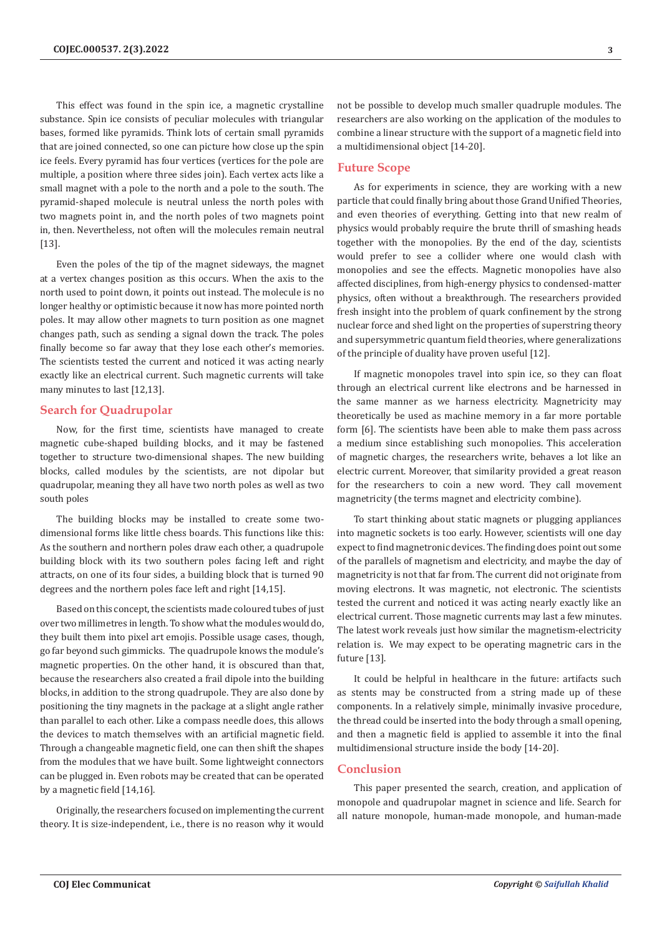This effect was found in the spin ice, a magnetic crystalline substance. Spin ice consists of peculiar molecules with triangular bases, formed like pyramids. Think lots of certain small pyramids that are joined connected, so one can picture how close up the spin ice feels. Every pyramid has four vertices (vertices for the pole are multiple, a position where three sides join). Each vertex acts like a small magnet with a pole to the north and a pole to the south. The pyramid-shaped molecule is neutral unless the north poles with two magnets point in, and the north poles of two magnets point in, then. Nevertheless, not often will the molecules remain neutral [13].

Even the poles of the tip of the magnet sideways, the magnet at a vertex changes position as this occurs. When the axis to the north used to point down, it points out instead. The molecule is no longer healthy or optimistic because it now has more pointed north poles. It may allow other magnets to turn position as one magnet changes path, such as sending a signal down the track. The poles finally become so far away that they lose each other's memories. The scientists tested the current and noticed it was acting nearly exactly like an electrical current. Such magnetic currents will take many minutes to last [12,13].

### **Search for Quadrupolar**

Now, for the first time, scientists have managed to create magnetic cube-shaped building blocks, and it may be fastened together to structure two-dimensional shapes. The new building blocks, called modules by the scientists, are not dipolar but quadrupolar, meaning they all have two north poles as well as two south poles

The building blocks may be installed to create some twodimensional forms like little chess boards. This functions like this: As the southern and northern poles draw each other, a quadrupole building block with its two southern poles facing left and right attracts, on one of its four sides, a building block that is turned 90 degrees and the northern poles face left and right [14,15].

Based on this concept, the scientists made coloured tubes of just over two millimetres in length. To show what the modules would do, they built them into pixel art emojis. Possible usage cases, though, go far beyond such gimmicks. The quadrupole knows the module's magnetic properties. On the other hand, it is obscured than that, because the researchers also created a frail dipole into the building blocks, in addition to the strong quadrupole. They are also done by positioning the tiny magnets in the package at a slight angle rather than parallel to each other. Like a compass needle does, this allows the devices to match themselves with an artificial magnetic field. Through a changeable magnetic field, one can then shift the shapes from the modules that we have built. Some lightweight connectors can be plugged in. Even robots may be created that can be operated by a magnetic field [14,16].

Originally, the researchers focused on implementing the current theory. It is size-independent, i.e., there is no reason why it would

not be possible to develop much smaller quadruple modules. The researchers are also working on the application of the modules to combine a linear structure with the support of a magnetic field into a multidimensional object [14-20].

#### **Future Scope**

As for experiments in science, they are working with a new particle that could finally bring about those Grand Unified Theories, and even theories of everything. Getting into that new realm of physics would probably require the brute thrill of smashing heads together with the monopolies. By the end of the day, scientists would prefer to see a collider where one would clash with monopolies and see the effects. Magnetic monopolies have also affected disciplines, from high-energy physics to condensed-matter physics, often without a breakthrough. The researchers provided fresh insight into the problem of quark confinement by the strong nuclear force and shed light on the properties of superstring theory and supersymmetric quantum field theories, where generalizations of the principle of duality have proven useful [12].

If magnetic monopoles travel into spin ice, so they can float through an electrical current like electrons and be harnessed in the same manner as we harness electricity. Magnetricity may theoretically be used as machine memory in a far more portable form [6]. The scientists have been able to make them pass across a medium since establishing such monopolies. This acceleration of magnetic charges, the researchers write, behaves a lot like an electric current. Moreover, that similarity provided a great reason for the researchers to coin a new word. They call movement magnetricity (the terms magnet and electricity combine).

To start thinking about static magnets or plugging appliances into magnetic sockets is too early. However, scientists will one day expect to find magnetronic devices. The finding does point out some of the parallels of magnetism and electricity, and maybe the day of magnetricity is not that far from. The current did not originate from moving electrons. It was magnetic, not electronic. The scientists tested the current and noticed it was acting nearly exactly like an electrical current. Those magnetic currents may last a few minutes. The latest work reveals just how similar the magnetism-electricity relation is. We may expect to be operating magnetric cars in the future [13].

It could be helpful in healthcare in the future: artifacts such as stents may be constructed from a string made up of these components. In a relatively simple, minimally invasive procedure, the thread could be inserted into the body through a small opening, and then a magnetic field is applied to assemble it into the final multidimensional structure inside the body [14-20].

## **Conclusion**

This paper presented the search, creation, and application of monopole and quadrupolar magnet in science and life. Search for all nature monopole, human-made monopole, and human-made